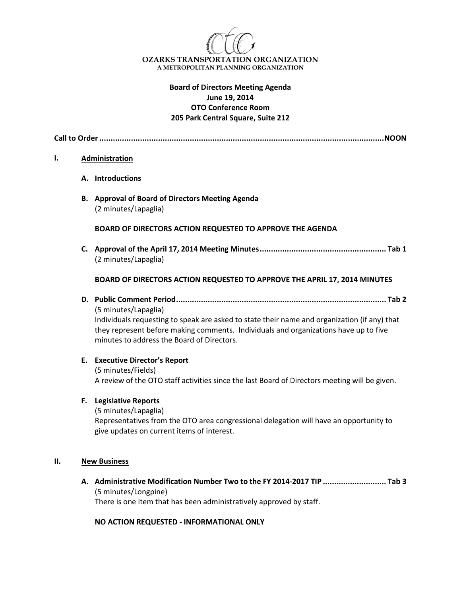

## **Board of Directors Meeting Agenda June 19, 2014 OTO Conference Room 205 Park Central Square, Suite 212**

**Call to Order..............................................................................................................................NOON**

#### **I. Administration**

- **A. Introductions**
- **B. Approval of Board of Directors Meeting Agenda** (2 minutes/Lapaglia)

#### **BOARD OF DIRECTORS ACTION REQUESTED TO APPROVE THE AGENDA**

**C. Approval of the April 17, 2014 Meeting Minutes........................................................ Tab 1** (2 minutes/Lapaglia)

#### **BOARD OF DIRECTORS ACTION REQUESTED TO APPROVE THE APRIL 17, 2014 MINUTES**

**D. Public Comment Period............................................................................................. Tab 2**

(5 minutes/Lapaglia) Individuals requesting to speak are asked to state their name and organization (if any) that they represent before making comments. Individuals and organizations have up to five minutes to address the Board of Directors.

### **E. Executive Director's Report**

(5 minutes/Fields) A review of the OTO staff activities since the last Board of Directors meeting will be given.

#### **F. Legislative Reports**

(5 minutes/Lapaglia) Representatives from the OTO area congressional delegation will have an opportunity to give updates on current items of interest.

#### **II. New Business**

**A. Administrative Modification Number Two to the FY 2014-2017 TIP ............................ Tab 3**  (5 minutes/Longpine) There is one item that has been administratively approved by staff.

**NO ACTION REQUESTED - INFORMATIONAL ONLY**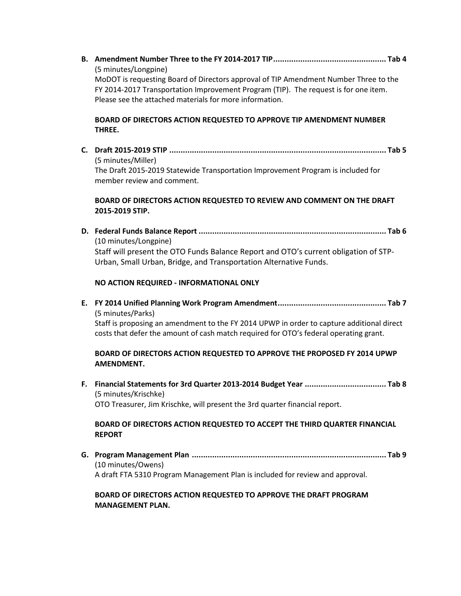**B. Amendment Number Three to the FY 2014-2017 TIP.................................................. Tab 4**  (5 minutes/Longpine) MoDOT is requesting Board of Directors approval of TIP Amendment Number Three to the

FY 2014-2017 Transportation Improvement Program (TIP). The request is for one item. Please see the attached materials for more information.

# **BOARD OF DIRECTORS ACTION REQUESTED TO APPROVE TIP AMENDMENT NUMBER THREE.**

**C. Draft 2015-2019 STIP ................................................................................................ Tab 5**  (5 minutes/Miller) The Draft 2015-2019 Statewide Transportation Improvement Program is included for member review and comment.

# **BOARD OF DIRECTORS ACTION REQUESTED TO REVIEW AND COMMENT ON THE DRAFT 2015-2019 STIP.**

**D. Federal Funds Balance Report ................................................................................... Tab 6**  (10 minutes/Longpine) Staff will present the OTO Funds Balance Report and OTO's current obligation of STP-Urban, Small Urban, Bridge, and Transportation Alternative Funds.

# **NO ACTION REQUIRED - INFORMATIONAL ONLY**

**E. FY 2014 Unified Planning Work Program Amendment................................................ Tab 7**  (5 minutes/Parks)

Staff is proposing an amendment to the FY 2014 UPWP in order to capture additional direct costs that defer the amount of cash match required for OTO's federal operating grant.

# **BOARD OF DIRECTORS ACTION REQUESTED TO APPROVE THE PROPOSED FY 2014 UPWP AMENDMENT.**

**F. Financial Statements for 3rd Quarter 2013-2014 Budget Year .................................... Tab 8** (5 minutes/Krischke) OTO Treasurer, Jim Krischke, will present the 3rd quarter financial report.

## **BOARD OF DIRECTORS ACTION REQUESTED TO ACCEPT THE THIRD QUARTER FINANCIAL REPORT**

**G. Program Management Plan ...................................................................................... Tab 9** (10 minutes/Owens) A draft FTA 5310 Program Management Plan is included for review and approval.

## **BOARD OF DIRECTORS ACTION REQUESTED TO APPROVE THE DRAFT PROGRAM MANAGEMENT PLAN.**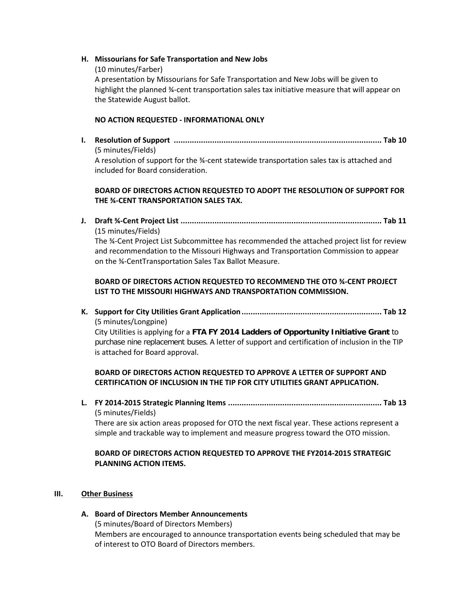### **H. Missourians for Safe Transportation and New Jobs**

(10 minutes/Farber) A presentation by Missourians for Safe Transportation and New Jobs will be given to highlight the planned ¾-cent transportation sales tax initiative measure that will appear on the Statewide August ballot.

## **NO ACTION REQUESTED - INFORMATIONAL ONLY**

on the ¾-CentTransportation Sales Tax Ballot Measure.

**I. Resolution of Support ............................................................................................ Tab 10** (5 minutes/Fields) A resolution of support for the ¾-cent statewide transportation sales tax is attached and included for Board consideration.

## **BOARD OF DIRECTORS ACTION REQUESTED TO ADOPT THE RESOLUTION OF SUPPORT FOR THE ¾-CENT TRANSPORTATION SALES TAX.**

**J. Draft ¾-Cent Project List ......................................................................................... Tab 11** (15 minutes/Fields) The ¾-Cent Project List Subcommittee has recommended the attached project list for review and recommendation to the Missouri Highways and Transportation Commission to appear

# **BOARD OF DIRECTORS ACTION REQUESTED TO RECOMMEND THE OTO ¾-CENT PROJECT LIST TO THE MISSOURI HIGHWAYS AND TRANSPORTATION COMMISSION.**

**K. Support for City Utilities Grant Application.............................................................. Tab 12** (5 minutes/Longpine)

City Utilities is applying for a **FTA FY 2014 Ladders of Opportunity Initiative Grant** to purchase nine replacement buses. A letter of support and certification of inclusion in the TIP is attached for Board approval.

# **BOARD OF DIRECTORS ACTION REQUESTED TO APPROVE A LETTER OF SUPPORT AND CERTIFICATION OF INCLUSION IN THE TIP FOR CITY UTILITIES GRANT APPLICATION.**

**L. FY 2014-2015 Strategic Planning Items .................................................................... Tab 13**  (5 minutes/Fields)

There are six action areas proposed for OTO the next fiscal year. These actions represent a simple and trackable way to implement and measure progress toward the OTO mission.

# **BOARD OF DIRECTORS ACTION REQUESTED TO APPROVE THE FY2014-2015 STRATEGIC PLANNING ACTION ITEMS.**

### **III. Other Business**

# **A. Board of Directors Member Announcements**

(5 minutes/Board of Directors Members) Members are encouraged to announce transportation events being scheduled that may be of interest to OTO Board of Directors members.